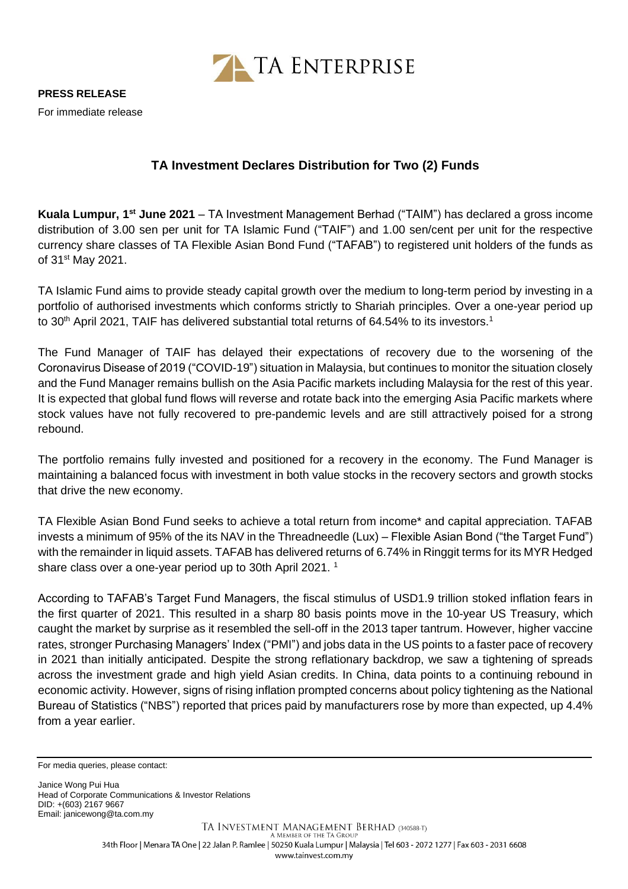

## **TA Investment Declares Distribution for Two (2) Funds**

**Kuala Lumpur, 1 st June 2021** – TA Investment Management Berhad ("TAIM") has declared a gross income distribution of 3.00 sen per unit for TA Islamic Fund ("TAIF") and 1.00 sen/cent per unit for the respective currency share classes of TA Flexible Asian Bond Fund ("TAFAB") to registered unit holders of the funds as of 31st May 2021.

TA Islamic Fund aims to provide steady capital growth over the medium to long-term period by investing in a portfolio of authorised investments which conforms strictly to Shariah principles. Over a one-year period up to 30<sup>th</sup> April 2021, TAIF has delivered substantial total returns of 64.54% to its investors.<sup>1</sup>

The Fund Manager of TAIF has delayed their expectations of recovery due to the worsening of the Coronavirus Disease of 2019 ("COVID-19") situation in Malaysia, but continues to monitor the situation closely and the Fund Manager remains bullish on the Asia Pacific markets including Malaysia for the rest of this year. It is expected that global fund flows will reverse and rotate back into the emerging Asia Pacific markets where stock values have not fully recovered to pre-pandemic levels and are still attractively poised for a strong rebound.

The portfolio remains fully invested and positioned for a recovery in the economy. The Fund Manager is maintaining a balanced focus with investment in both value stocks in the recovery sectors and growth stocks that drive the new economy.

TA Flexible Asian Bond Fund seeks to achieve a total return from income\* and capital appreciation. TAFAB invests a minimum of 95% of the its NAV in the Threadneedle (Lux) – Flexible Asian Bond ("the Target Fund") with the remainder in liquid assets. TAFAB has delivered returns of 6.74% in Ringgit terms for its MYR Hedged share class over a one-year period up to 30th April 2021.<sup>1</sup>

According to TAFAB's Target Fund Managers, the fiscal stimulus of USD1.9 trillion stoked inflation fears in the first quarter of 2021. This resulted in a sharp 80 basis points move in the 10-year US Treasury, which caught the market by surprise as it resembled the sell-off in the 2013 taper tantrum. However, higher vaccine rates, stronger Purchasing Managers' Index ("PMI") and jobs data in the US points to a faster pace of recovery in 2021 than initially anticipated. Despite the strong reflationary backdrop, we saw a tightening of spreads across the investment grade and high yield Asian credits. In China, data points to a continuing rebound in economic activity. However, signs of rising inflation prompted concerns about policy tightening as the National Bureau of Statistics ("NBS") reported that prices paid by manufacturers rose by more than expected, up 4.4% from a year earlier.

Janice Wong Pui Hua Head of Corporate Communications & Investor Relations DID: +(603) 2167 9667 Email[: janicewong@ta.com.my](mailto:janicewong@ta.com.my)

For media queries, please contact: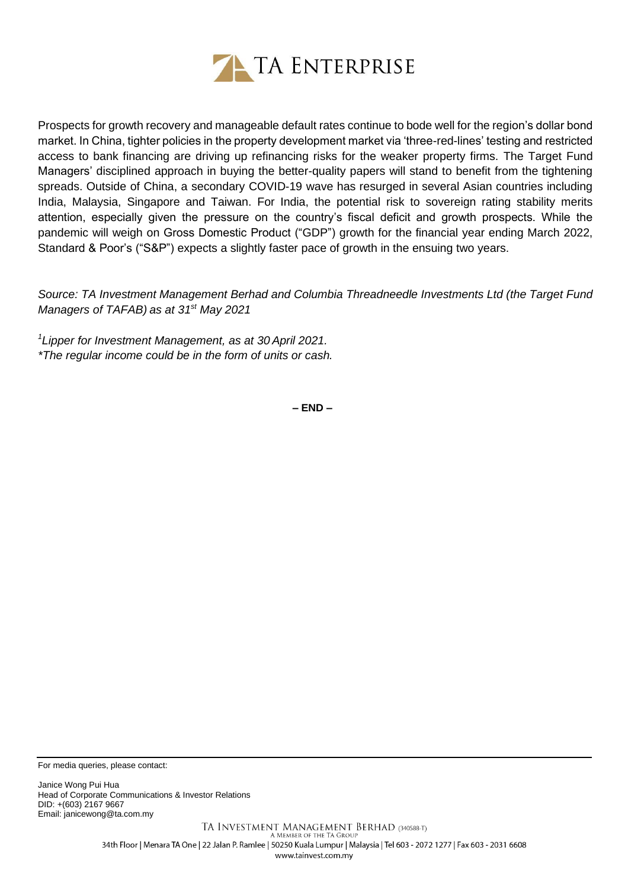

Prospects for growth recovery and manageable default rates continue to bode well for the region's dollar bond market. In China, tighter policies in the property development market via 'three-red-lines' testing and restricted access to bank financing are driving up refinancing risks for the weaker property firms. The Target Fund Managers' disciplined approach in buying the better-quality papers will stand to benefit from the tightening spreads. Outside of China, a secondary COVID-19 wave has resurged in several Asian countries including India, Malaysia, Singapore and Taiwan. For India, the potential risk to sovereign rating stability merits attention, especially given the pressure on the country's fiscal deficit and growth prospects. While the pandemic will weigh on Gross Domestic Product ("GDP") growth for the financial year ending March 2022, Standard & Poor's ("S&P") expects a slightly faster pace of growth in the ensuing two years.

*Source: TA Investment Management Berhad and Columbia Threadneedle Investments Ltd (the Target Fund Managers of TAFAB) as at 31st May 2021*

*<sup>1</sup>Lipper for Investment Management, as at 30 April 2021. \*The regular income could be in the form of units or cash.*

**– END –**

For media queries, please contact:

Janice Wong Pui Hua Head of Corporate Communications & Investor Relations DID: +(603) 2167 9667 Email[: janicewong@ta.com.my](mailto:janicewong@ta.com.my)